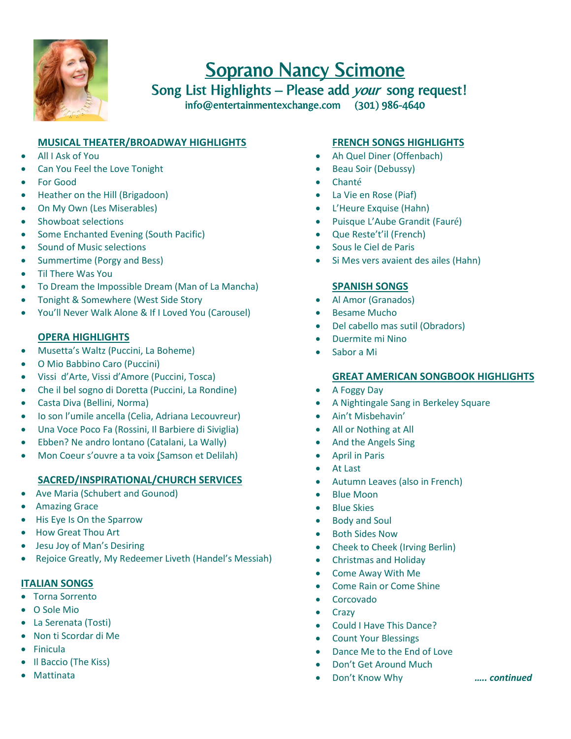

# Soprano Nancy Scimone

Song List Highlights - Please add your song request! info@entertainmentexchange.com (301) 986-4640

## **MUSICAL THEATER/BROADWAY HIGHLIGHTS**

- All I Ask of You
- Can You Feel the Love Tonight
- For Good
- Heather on the Hill (Brigadoon)
- On My Own (Les Miserables)
- Showboat selections
- Some Enchanted Evening (South Pacific)
- Sound of Music selections
- Summertime (Porgy and Bess)
- Til There Was You
- To Dream the Impossible Dream (Man of La Mancha)
- Tonight & Somewhere (West Side Story
- You'll Never Walk Alone & If I Loved You (Carousel)

#### **OPERA HIGHLIGHTS**

- Musetta's Waltz (Puccini, La Boheme)
- O Mio Babbino Caro (Puccini)
- Vissi d'Arte, Vissi d'Amore (Puccini, Tosca)
- Che il bel sogno di Doretta (Puccini, La Rondine)
- Casta Diva (Bellini, Norma)
- Io son l'umile ancella (Celia, Adriana Lecouvreur)
- Una Voce Poco Fa (Rossini, Il Barbiere di Siviglia)
- Ebben? Ne andro lontano (Catalani, La Wally)
- Mon Coeur s'ouvre a ta voix (Samson et Delilah)

## **SACRED/INSPIRATIONAL/CHURCH SERVICES**

- Ave Maria (Schubert and Gounod)
- **•** Amazing Grace
- His Eye Is On the Sparrow
- How Great Thou Art
- Jesu Joy of Man's Desiring
- Rejoice Greatly, My Redeemer Liveth (Handel's Messiah)

#### **ITALIAN SONGS**

- Torna Sorrento
- O Sole Mio
- La Serenata (Tosti)
- Non ti Scordar di Me
- Finicula
- Il Baccio (The Kiss)
- Mattinata

## **FRENCH SONGS HIGHLIGHTS**

- Ah Quel Diner (Offenbach)
- Beau Soir (Debussy)
- Chanté
- La Vie en Rose (Piaf)
- L'Heure Exquise (Hahn)
- Puisque L'Aube Grandit (Fauré)
- Que Reste't'il (French)
- Sous le Ciel de Paris
- Si Mes vers avaient des ailes (Hahn)

## **SPANISH SONGS**

- Al Amor (Granados)
- Besame Mucho
- Del cabello mas sutil (Obradors)
- Duermite mi Nino
- Sabor a Mi

#### **GREAT AMERICAN SONGBOOK HIGHLIGHTS**

- A Foggy Day
- A Nightingale Sang in Berkeley Square
- Ain't Misbehavin'
- All or Nothing at All
- And the Angels Sing
- April in Paris
- At Last
- Autumn Leaves (also in French)
- Blue Moon
- **•** Blue Skies
- Body and Soul
- Both Sides Now
- Cheek to Cheek (Irving Berlin)
- Christmas and Holiday
- Come Away With Me
- Come Rain or Come Shine
- Corcovado
- Crazy
- Could I Have This Dance?
- Count Your Blessings
- Dance Me to the End of Love
- Don't Get Around Much
- Don't Know Why *….. continued*